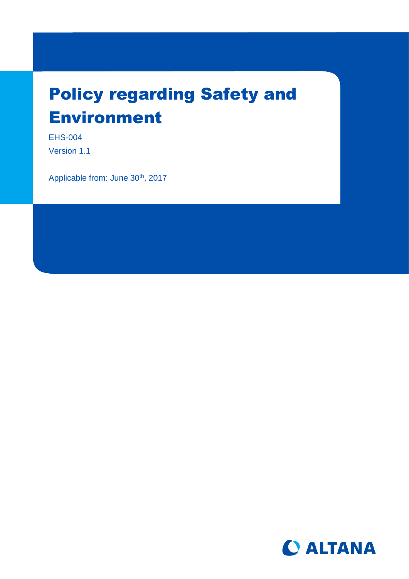# Policy regarding Safety and Environment

EHS-004 Version 1.1

Applicable from: June 30<sup>th</sup>, 2017

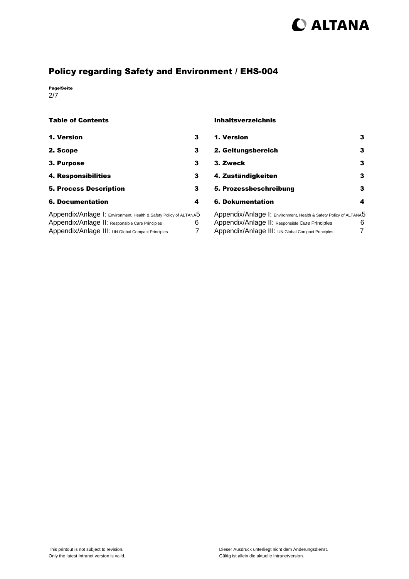# C ALTANA

# Policy regarding Safety and Environment / EHS-004

Page/Seite 2/7

#### Table of Contents

| 1. Version                                                                                                           | 3 |
|----------------------------------------------------------------------------------------------------------------------|---|
| 2. Scope                                                                                                             | 3 |
| 3. Purpose                                                                                                           | 3 |
| 4. Responsibilities                                                                                                  | 3 |
| <b>5. Process Description</b>                                                                                        | 3 |
| <b>6. Documentation</b>                                                                                              | 4 |
| Appendix/Anlage I: Environment, Health & Safety Policy of ALTANA5<br>Appendix/Anlage II: Responsible Care Principles | h |

# Appendix/Anlage III: UN Global Compact Principles 7

#### Inhaltsverzeichnis

| 1. Version                                                        |   |
|-------------------------------------------------------------------|---|
| 2. Geltungsbereich                                                |   |
| 3. Zweck                                                          | з |
| 4. Zuständigkeiten                                                |   |
| 5. Prozessbeschreibung                                            | з |
| 6. Dokumentation                                                  |   |
| Appendix/Anlage I: Environment, Health & Safety Policy of ALTANA5 |   |

| AppendIX/AnIage 1: Environment, Health & Safety Policy of ALTANA5 |    |
|-------------------------------------------------------------------|----|
| Appendix/Anlage II: Responsible Care Principles                   | 6. |
| Appendix/Anlage III: UN Global Compact Principles                 |    |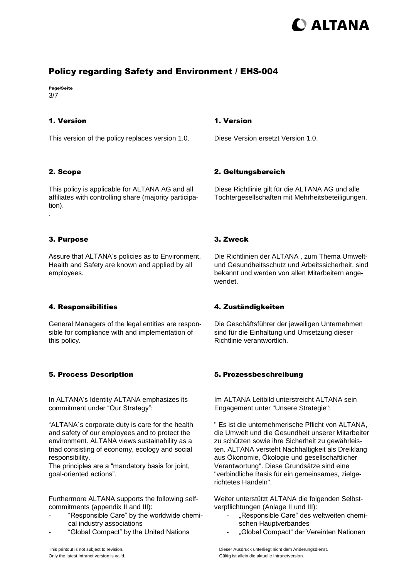# **DALTANA**

## Policy regarding Safety and Environment / EHS-004

Page/Seite 3/7

#### <span id="page-2-0"></span>1. Version

This version of the policy replaces version 1.0.

#### <span id="page-2-1"></span>2. Scope

This policy is applicable for ALTANA AG and all affiliates with controlling share (majority participation). .

#### <span id="page-2-2"></span>3. Purpose

Assure that ALTANA's policies as to Environment, Health and Safety are known and applied by all employees.

#### <span id="page-2-3"></span>4. Responsibilities

General Managers of the legal entities are responsible for compliance with and implementation of this policy.

#### <span id="page-2-4"></span>5. Process Description

In ALTANA's Identity ALTANA emphasizes its commitment under "Our Strategy":

"ALTANA´s corporate duty is care for the health and safety of our employees and to protect the environment. ALTANA views sustainability as a triad consisting of economy, ecology and social responsibility.

The principles are a "mandatory basis for joint, goal-oriented actions".

Furthermore ALTANA supports the following selfcommitments (appendix II and III):

- "Responsible Care" by the worldwide chemical industry associations
- "Global Compact" by the United Nations

#### <span id="page-2-5"></span>1. Version

Diese Version ersetzt Version 1.0.

#### <span id="page-2-6"></span>2. Geltungsbereich

Diese Richtlinie gilt für die ALTANA AG und alle Tochtergesellschaften mit Mehrheitsbeteiligungen.

#### <span id="page-2-7"></span>3. Zweck

Die Richtlinien der ALTANA , zum Thema Umweltund Gesundheitsschutz und Arbeitssicherheit, sind bekannt und werden von allen Mitarbeitern angewendet.

#### <span id="page-2-8"></span>4. Zuständigkeiten

Die Geschäftsführer der jeweiligen Unternehmen sind für die Einhaltung und Umsetzung dieser Richtlinie verantwortlich.

#### <span id="page-2-9"></span>5. Prozessbeschreibung

Im ALTANA Leitbild unterstreicht ALTANA sein Engagement unter "Unsere Strategie":

" Es ist die unternehmerische Pflicht von ALTANA, die Umwelt und die Gesundheit unserer Mitarbeiter zu schützen sowie ihre Sicherheit zu gewährleisten. ALTANA versteht Nachhaltigkeit als Dreiklang aus Ökonomie, Ökologie und gesellschaftlicher Verantwortung". Diese Grundsätze sind eine "verbindliche Basis für ein gemeinsames, zielgerichtetes Handeln".

Weiter unterstützt ALTANA die folgenden Selbstverpflichtungen (Anlage II und III):

- "Responsible Care" des weltweiten chemischen Hauptverbandes
- "Global Compact" der Vereinten Nationen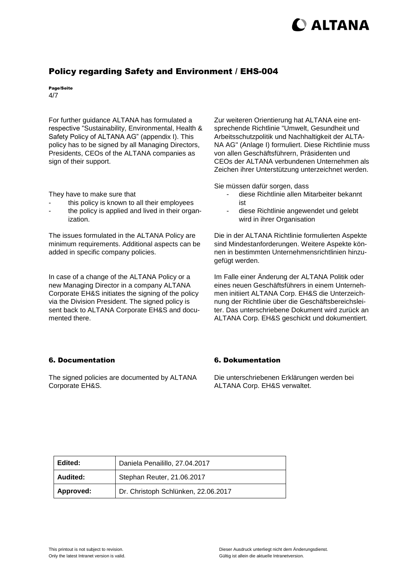# **D** ALTANA

### Policy regarding Safety and Environment / EHS-004

Page/Seite 4/7

For further guidance ALTANA has formulated a respective "Sustainability, Environmental, Health & Safety Policy of ALTANA AG" (appendix I). This policy has to be signed by all Managing Directors, Presidents, CEOs of the ALTANA companies as sign of their support.

They have to make sure that

- this policy is known to all their employees
- the policy is applied and lived in their organization.

The issues formulated in the ALTANA Policy are minimum requirements. Additional aspects can be added in specific company policies.

In case of a change of the ALTANA Policy or a new Managing Director in a company ALTANA Corporate EH&S initiates the signing of the policy via the Division President. The signed policy is sent back to ALTANA Corporate EH&S and documented there.

#### <span id="page-3-0"></span>6. Documentation

The signed policies are documented by ALTANA Corporate EH&S.

Zur weiteren Orientierung hat ALTANA eine entsprechende Richtlinie "Umwelt, Gesundheit und Arbeitsschutzpolitik und Nachhaltigkeit der ALTA-NA AG" (Anlage I) formuliert. Diese Richtlinie muss von allen Geschäftsführern, Präsidenten und CEOs der ALTANA verbundenen Unternehmen als Zeichen ihrer Unterstützung unterzeichnet werden.

Sie müssen dafür sorgen, dass

- diese Richtlinie allen Mitarbeiter bekannt ist
- diese Richtlinie angewendet und gelebt wird in ihrer Organisation

Die in der ALTANA Richtlinie formulierten Aspekte sind Mindestanforderungen. Weitere Aspekte können in bestimmten Unternehmensrichtlinien hinzugefügt werden.

Im Falle einer Änderung der ALTANA Politik oder eines neuen Geschäftsführers in einem Unternehmen initiiert ALTANA Corp. EH&S die Unterzeichnung der Richtlinie über die Geschäftsbereichsleiter. Das unterschriebene Dokument wird zurück an ALTANA Corp. EH&S geschickt und dokumentiert.

#### <span id="page-3-1"></span>6. Dokumentation

Die unterschriebenen Erklärungen werden bei ALTANA Corp. EH&S verwaltet.

| Edited:   | Daniela Penailillo, 27.04.2017      |
|-----------|-------------------------------------|
| Audited:  | Stephan Reuter, 21.06.2017          |
| Approved: | Dr. Christoph Schlünken, 22.06.2017 |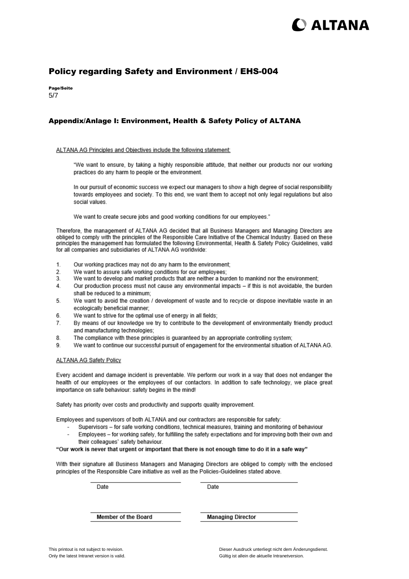# ) ALTANA

### Policy regarding Safety and Environment / EHS-004

Page/Seite 5/7

#### <span id="page-4-0"></span>Appendix/Anlage I: Environment, Health & Safety Policy of ALTANA

#### ALTANA AG Principles and Objectives include the following statement:

"We want to ensure, by taking a highly responsible attitude, that neither our products nor our working practices do any harm to people or the environment.

In our pursuit of economic success we expect our managers to show a high degree of social responsibility towards employees and society. To this end, we want them to accept not only legal regulations but also social values

We want to create secure jobs and good working conditions for our employees."

Therefore, the management of ALTANA AG decided that all Business Managers and Managing Directors are obliged to comply with the principles of the Responsible Care Initiative of the Chemical Industry. Based on these principles the management has formulated the following Environmental, Health & Safety Policy Guidelines, valid for all companies and subsidiaries of ALTANA AG worldwide:

- $\mathbf{1}$ Our working practices may not do any harm to the environment;
- We want to assure safe working conditions for our employees;  $\overline{2}$
- $3.$ We want to develop and market products that are neither a burden to mankind nor the environment;
- $\overline{4}$ Our production process must not cause any environmental impacts - if this is not avoidable, the burden shall be reduced to a minimum:
- 5. We want to avoid the creation / development of waste and to recycle or dispose inevitable waste in an ecologically beneficial manner;
- 6 We want to strive for the optimal use of energy in all fields;
- By means of our knowledge we try to contribute to the development of environmentally friendly product  $\overline{7}$ and manufacturing technologies:
- 8. The compliance with these principles is quaranteed by an appropriate controlling system;
- We want to continue our successful pursuit of engagement for the environmental situation of ALTANA AG. 9

#### **ALTANA AG Safety Policy**

Every accident and damage incident is preventable. We perform our work in a way that does not endanger the health of our employees or the employees of our contactors. In addition to safe technology, we place great importance on safe behaviour: safety begins in the mind!

Safety has priority over costs and productivity and supports quality improvement.

Employees and supervisors of both ALTANA and our contractors are responsible for safety:

- Supervisors for safe working conditions, technical measures, training and monitoring of behaviour Employees - for working safely, for fulfilling the safety expectations and for improving both their own and
- their colleagues' safety behaviour.

"Our work is never that urgent or important that there is not enough time to do it in a safe way"

With their signature all Business Managers and Managing Directors are obliged to comply with the enclosed principles of the Responsible Care initiative as well as the Policies-Guidelines stated above.

Date

Date

Member of the Board

**Managing Director**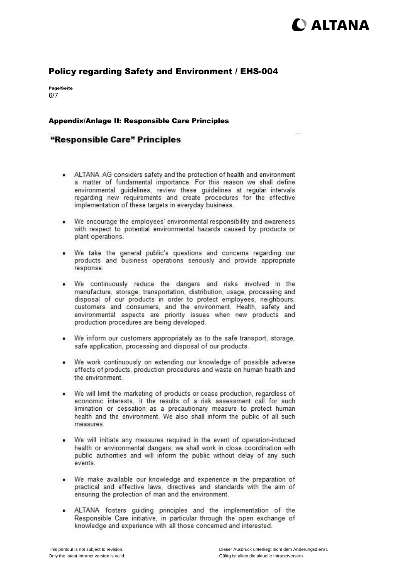# **DALTANA**

### Policy regarding Safety and Environment / EHS-004

Page/Seite 6/7

#### <span id="page-5-0"></span>Appendix/Anlage II: Responsible Care Principles

### "Responsible Care" Principles

- ALTANA AG considers safety and the protection of health and environment a matter of fundamental importance. For this reason we shall define environmental guidelines, review these guidelines at regular intervals regarding new requirements and create procedures for the effective implementation of these targets in everyday business.
- We encourage the employees' environmental responsibility and awareness  $\bullet$ with respect to potential environmental hazards caused by products or plant operations.
- $\cdot$ We take the general public's questions and concerns regarding our products and business operations seriously and provide appropriate response.
- We continuously reduce the dangers and risks involved in the  $\bullet$ manufacture, storage, transportation, distribution, usage, processing and disposal of our products in order to protect employees, neighbours. customers and consumers, and the environment. Health, safety and environmental aspects are priority issues when new products and production procedures are being developed.
- $\bullet$ We inform our customers appropriately as to the safe transport, storage, safe application, processing and disposal of our products.
- We work continuously on extending our knowledge of possible adverse  $\bullet$ effects of products, production procedures and waste on human health and the environment.
- $\bullet$ We will limit the marketing of products or cease production, regardless of economic interests, it the results of a risk assessment call for such limination or cessation as a precautionary measure to protect human health and the environment. We also shall inform the public of all such measures.
- We will initiate any measures required in the event of operation-induced  $\bullet$ health or environmental dangers; we shall work in close coordination with public authorities and will inform the public without delay of any such events.
- We make available our knowledge and experience in the preparation of practical and effective laws, directives and standards with the aim of ensuring the protection of man and the environment.
- . ALTANA fosters guiding principles and the implementation of the Responsible Care initiative, in particular through the open exchange of knowledge and experience with all those concerned and interested.